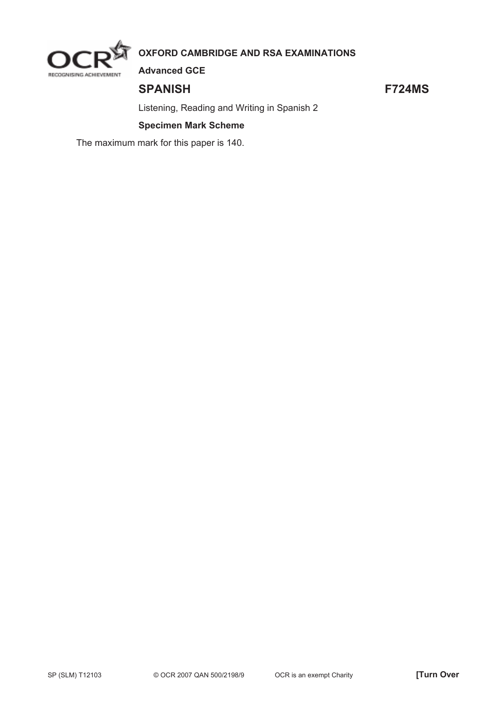

# **OXFORD CAMBRIDGE AND RSA EXAMINATIONS**

**Advanced GCE** 

## **SPANISH F724MS**

Listening, Reading and Writing in Spanish 2

## **Specimen Mark Scheme**

The maximum mark for this paper is 140.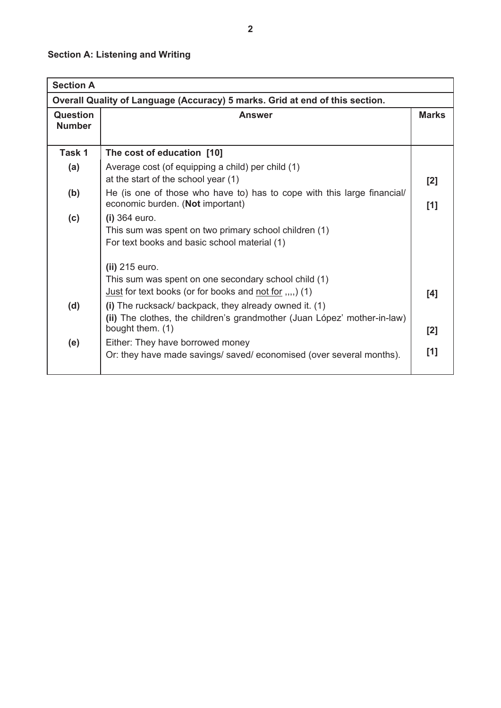# **Section A: Listening and Writing**

| <b>Section A</b>                                                             |                                                                                                                                                                                                     |     |  |
|------------------------------------------------------------------------------|-----------------------------------------------------------------------------------------------------------------------------------------------------------------------------------------------------|-----|--|
| Overall Quality of Language (Accuracy) 5 marks. Grid at end of this section. |                                                                                                                                                                                                     |     |  |
| Question<br><b>Number</b>                                                    | <b>Answer</b>                                                                                                                                                                                       |     |  |
| Task 1                                                                       | The cost of education [10]                                                                                                                                                                          |     |  |
| (a)                                                                          | Average cost (of equipping a child) per child (1)<br>at the start of the school year (1)                                                                                                            | [2] |  |
| (b)                                                                          | He (is one of those who have to) has to cope with this large financial/<br>economic burden. (Not important)                                                                                         | [1] |  |
| (c)                                                                          | $(i)$ 364 euro.<br>This sum was spent on two primary school children (1)<br>For text books and basic school material (1)                                                                            |     |  |
| (d)                                                                          | (ii) 215 euro.<br>This sum was spent on one secondary school child (1)<br><u>Just</u> for text books (or for books and not for $(1, 1)$ )<br>(i) The rucksack/ backpack, they already owned it. (1) | [4] |  |
|                                                                              | (ii) The clothes, the children's grandmother (Juan López' mother-in-law)<br>bought them. (1)                                                                                                        | [2] |  |
| (e)                                                                          | Either: They have borrowed money<br>Or: they have made savings/ saved/ economised (over several months).                                                                                            | [1] |  |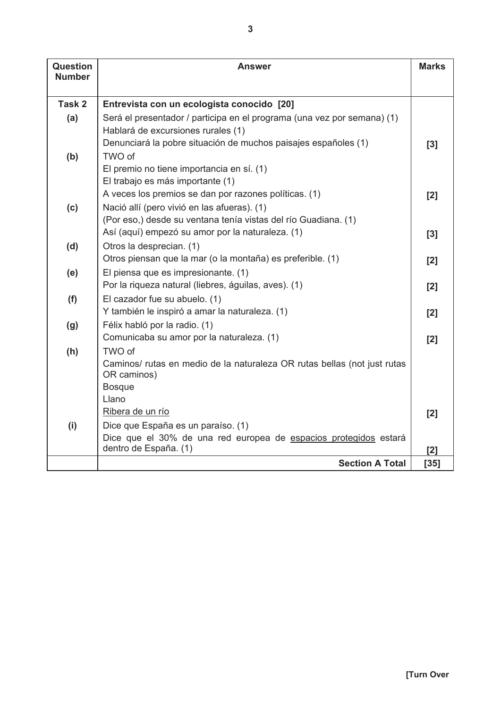| Question<br><b>Number</b> | Answer                                                                                                        |        |
|---------------------------|---------------------------------------------------------------------------------------------------------------|--------|
|                           |                                                                                                               |        |
| Task 2                    | Entrevista con un ecologista conocido [20]                                                                    |        |
| (a)                       | Será el presentador / participa en el programa (una vez por semana) (1)                                       |        |
|                           | Hablará de excursiones rurales (1)                                                                            |        |
|                           | Denunciará la pobre situación de muchos paisajes españoles (1)                                                | [3]    |
| (b)                       | TWO of                                                                                                        |        |
|                           | El premio no tiene importancia en sí. (1)                                                                     |        |
|                           | El trabajo es más importante (1)                                                                              |        |
|                           | A veces los premios se dan por razones políticas. (1)                                                         | [2]    |
| (c)                       | Nació allí (pero vivió en las afueras). (1)<br>(Por eso,) desde su ventana tenía vistas del río Guadiana. (1) |        |
|                           | Así (aquí) empezó su amor por la naturaleza. (1)                                                              |        |
| (d)                       | Otros la desprecian. (1)                                                                                      | [3]    |
|                           | Otros piensan que la mar (o la montaña) es preferible. (1)                                                    | [2]    |
| (e)                       | El piensa que es impresionante. (1)                                                                           |        |
|                           | Por la riqueza natural (liebres, águilas, aves). (1)                                                          | [2]    |
| (f)                       | El cazador fue su abuelo. (1)                                                                                 |        |
|                           | Y también le inspiró a amar la naturaleza. (1)                                                                | [2]    |
| (g)                       | Félix habló por la radio. (1)                                                                                 |        |
|                           | Comunicaba su amor por la naturaleza. (1)                                                                     | [2]    |
| (h)                       | TWO of                                                                                                        |        |
|                           | Caminos/ rutas en medio de la naturaleza OR rutas bellas (not just rutas<br>OR caminos)                       |        |
|                           | <b>Bosque</b>                                                                                                 |        |
|                           | Llano                                                                                                         |        |
|                           | Ribera de un río                                                                                              | [2]    |
| (i)                       | Dice que España es un paraíso. (1)                                                                            |        |
|                           | Dice que el 30% de una red europea de espacios protegidos estará                                              |        |
|                           | dentro de España. (1)                                                                                         | [2]    |
|                           | <b>Section A Total</b>                                                                                        | $[35]$ |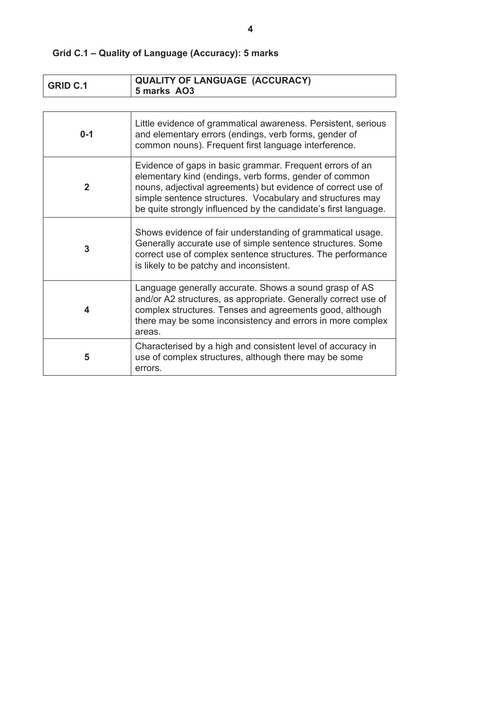| Grid C.1 – Quality of Language (Accuracy): 5 marks |
|----------------------------------------------------|
|                                                    |
|                                                    |

| <b>GRID C.1</b> | <b>QUALITY OF LANGUAGE (ACCURACY)</b><br>5 marks AO3                                                                                                                                                                                                                                                               |
|-----------------|--------------------------------------------------------------------------------------------------------------------------------------------------------------------------------------------------------------------------------------------------------------------------------------------------------------------|
|                 |                                                                                                                                                                                                                                                                                                                    |
| $0 - 1$         | Little evidence of grammatical awareness. Persistent, serious<br>and elementary errors (endings, verb forms, gender of<br>common nouns). Frequent first language interference.                                                                                                                                     |
| $\mathbf{2}$    | Evidence of gaps in basic grammar. Frequent errors of an<br>elementary kind (endings, verb forms, gender of common<br>nouns, adjectival agreements) but evidence of correct use of<br>simple sentence structures. Vocabulary and structures may<br>be quite strongly influenced by the candidate's first language. |
| 3               | Shows evidence of fair understanding of grammatical usage.<br>Generally accurate use of simple sentence structures. Some<br>correct use of complex sentence structures. The performance<br>is likely to be patchy and inconsistent.                                                                                |
| 4               | Language generally accurate. Shows a sound grasp of AS<br>and/or A2 structures, as appropriate. Generally correct use of<br>complex structures. Tenses and agreements good, although<br>there may be some inconsistency and errors in more complex<br>areas.                                                       |
| 5               | Characterised by a high and consistent level of accuracy in<br>use of complex structures, although there may be some<br>errors.                                                                                                                                                                                    |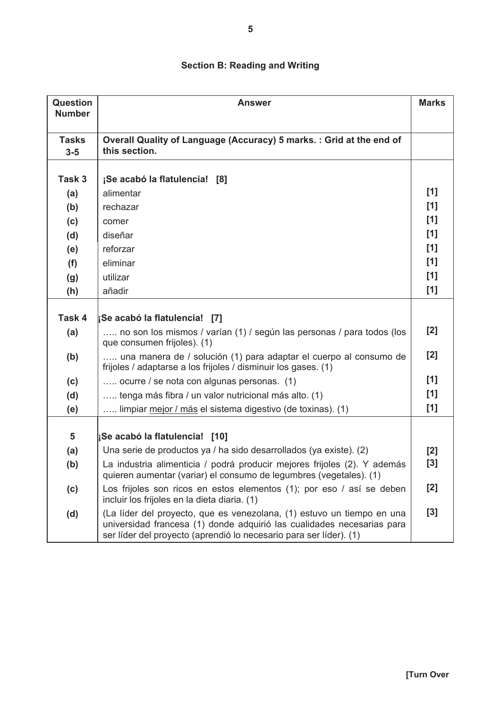# **Section B: Reading and Writing**

| Question<br><b>Number</b> | <b>Answer</b>                                                                                                                                                                                                          |       |
|---------------------------|------------------------------------------------------------------------------------------------------------------------------------------------------------------------------------------------------------------------|-------|
|                           |                                                                                                                                                                                                                        |       |
| <b>Tasks</b><br>$3-5$     | Overall Quality of Language (Accuracy) 5 marks.: Grid at the end of<br>this section.                                                                                                                                   |       |
|                           |                                                                                                                                                                                                                        |       |
| Task 3                    | ¡Se acabó la flatulencia! [8]                                                                                                                                                                                          |       |
| (a)                       | alimentar                                                                                                                                                                                                              | [1]   |
| (b)                       | rechazar                                                                                                                                                                                                               | [1]   |
| (c)                       | comer                                                                                                                                                                                                                  | [1]   |
| (d)                       | diseñar                                                                                                                                                                                                                | [1]   |
| (e)                       | reforzar                                                                                                                                                                                                               | [1]   |
| (f)                       | eliminar                                                                                                                                                                                                               | [1]   |
| (g)                       | utilizar                                                                                                                                                                                                               | [1]   |
| (h)                       | añadir                                                                                                                                                                                                                 | [1]   |
|                           |                                                                                                                                                                                                                        |       |
| Task 4                    | ¡Se acabó la flatulencia! [7]                                                                                                                                                                                          |       |
| (a)                       | no son los mismos / varían (1) / según las personas / para todos (los<br>que consumen frijoles). (1)                                                                                                                   | [2]   |
| (b)                       | una manera de / solución (1) para adaptar el cuerpo al consumo de<br>frijoles / adaptarse a los frijoles / disminuir los gases. (1)                                                                                    | [2]   |
| (c)                       | ocurre / se nota con algunas personas. (1)                                                                                                                                                                             | [1]   |
| (d)                       | tenga más fibra / un valor nutricional más alto. (1)                                                                                                                                                                   | [1]   |
| (e)                       | limpiar mejor / más el sistema digestivo (de toxinas). (1)                                                                                                                                                             | [1]   |
|                           |                                                                                                                                                                                                                        |       |
| 5                         | ¡Se acabó la flatulencia! [10]                                                                                                                                                                                         |       |
| (a)                       | Una serie de productos ya / ha sido desarrollados (ya existe). (2)                                                                                                                                                     | [2]   |
| (b)                       | La industria alimenticia / podrá producir mejores frijoles (2). Y además<br>quieren aumentar (variar) el consumo de legumbres (vegetales). (1)                                                                         | [3]   |
| (c)                       | Los frijoles son ricos en estos elementos (1); por eso / así se deben<br>incluir los frijoles en la dieta diaria. (1)                                                                                                  | $[2]$ |
| (d)                       | (La líder del proyecto, que es venezolana, (1) estuvo un tiempo en una<br>universidad francesa (1) donde adquirió las cualidades necesarias para<br>ser líder del proyecto (aprendió lo necesario para ser líder). (1) | $[3]$ |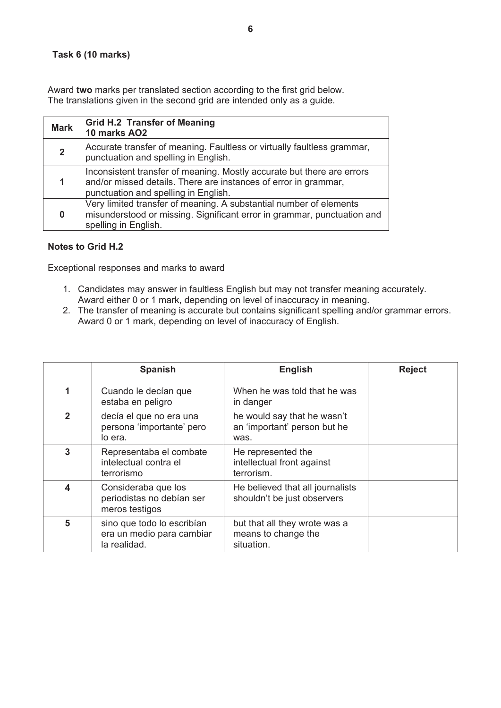### **Task 6 (10 marks)**

Award **two** marks per translated section according to the first grid below. The translations given in the second grid are intended only as a guide.

| <b>Mark</b>  | <b>Grid H.2 Transfer of Meaning</b><br>10 marks AO2                                                                                                                               |
|--------------|-----------------------------------------------------------------------------------------------------------------------------------------------------------------------------------|
| $\mathbf{2}$ | Accurate transfer of meaning. Faultless or virtually faultless grammar,<br>punctuation and spelling in English.                                                                   |
|              | Inconsistent transfer of meaning. Mostly accurate but there are errors<br>and/or missed details. There are instances of error in grammar,<br>punctuation and spelling in English. |
| 0            | Very limited transfer of meaning. A substantial number of elements<br>misunderstood or missing. Significant error in grammar, punctuation and<br>spelling in English.             |

#### **Notes to Grid H.2**

Exceptional responses and marks to award

- 1. Candidates may answer in faultless English but may not transfer meaning accurately. Award either 0 or 1 mark, depending on level of inaccuracy in meaning.
- 2. The transfer of meaning is accurate but contains significant spelling and/or grammar errors. Award 0 or 1 mark, depending on level of inaccuracy of English.

|              | <b>Spanish</b>                                                          | <b>English</b>                                                      | <b>Reject</b> |
|--------------|-------------------------------------------------------------------------|---------------------------------------------------------------------|---------------|
| 1            | Cuando le decían que<br>estaba en peligro                               | When he was told that he was<br>in danger                           |               |
| $\mathbf{2}$ | decía el que no era una<br>persona 'importante' pero<br>lo era.         | he would say that he wasn't<br>an 'important' person but he<br>was. |               |
| 3            | Representaba el combate<br>intelectual contra el<br>terrorismo          | He represented the<br>intellectual front against<br>terrorism.      |               |
| 4            | Consideraba que los<br>periodistas no debían ser<br>meros testigos      | He believed that all journalists<br>shouldn't be just observers     |               |
| 5            | sino que todo lo escribían<br>era un medio para cambiar<br>la realidad. | but that all they wrote was a<br>means to change the<br>situation.  |               |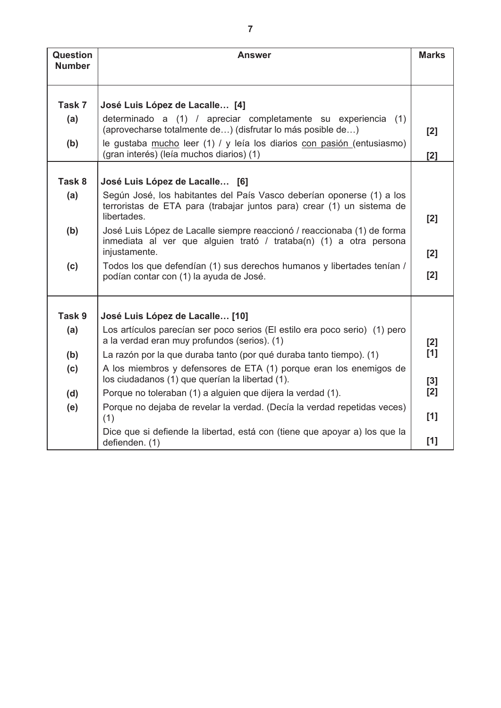| <b>Question</b><br><b>Number</b> | <b>Answer</b>                                                                                                               |       |  |
|----------------------------------|-----------------------------------------------------------------------------------------------------------------------------|-------|--|
|                                  |                                                                                                                             |       |  |
| Task 7                           | José Luis López de Lacalle [4]                                                                                              |       |  |
|                                  |                                                                                                                             |       |  |
| (a)                              | determinado a (1) / apreciar completamente su experiencia (1)<br>(aprovecharse totalmente de) (disfrutar lo más posible de) | [2]   |  |
| (b)                              | le gustaba mucho leer (1) / y leía los diarios con pasión (entusiasmo)<br>(gran interés) (leía muchos diarios) (1)          | [2]   |  |
| Task 8                           | José Luis López de Lacalle [6]                                                                                              |       |  |
|                                  | Según José, los habitantes del País Vasco deberían oponerse (1) a los                                                       |       |  |
| (a)                              | terroristas de ETA para (trabajar juntos para) crear (1) un sistema de<br>libertades.                                       | [2]   |  |
| (b)                              | José Luis López de Lacalle siempre reaccionó / reaccionaba (1) de forma                                                     |       |  |
|                                  | inmediata al ver que alguien trató / trataba(n) (1) a otra persona<br>injustamente.                                         | [2]   |  |
| (c)                              | Todos los que defendían (1) sus derechos humanos y libertades tenían /                                                      |       |  |
|                                  | podían contar con (1) la ayuda de José.                                                                                     | [2]   |  |
| Task 9                           | José Luis López de Lacalle [10]                                                                                             |       |  |
| (a)                              | Los artículos parecían ser poco serios (El estilo era poco serio) (1) pero                                                  |       |  |
|                                  | a la verdad eran muy profundos (serios). (1)                                                                                | [2]   |  |
| (b)                              | La razón por la que duraba tanto (por qué duraba tanto tiempo). (1)                                                         | [1]   |  |
| (c)                              | A los miembros y defensores de ETA (1) porque eran los enemigos de<br>los ciudadanos (1) que querían la libertad (1).       | $[3]$ |  |
| (d)                              | Porque no toleraban (1) a alguien que dijera la verdad (1).                                                                 | [2]   |  |
| (e)                              | Porque no dejaba de revelar la verdad. (Decía la verdad repetidas veces)<br>(1)                                             | [1]   |  |
|                                  | Dice que si defiende la libertad, está con (tiene que apoyar a) los que la<br>defienden. (1)                                | [1]   |  |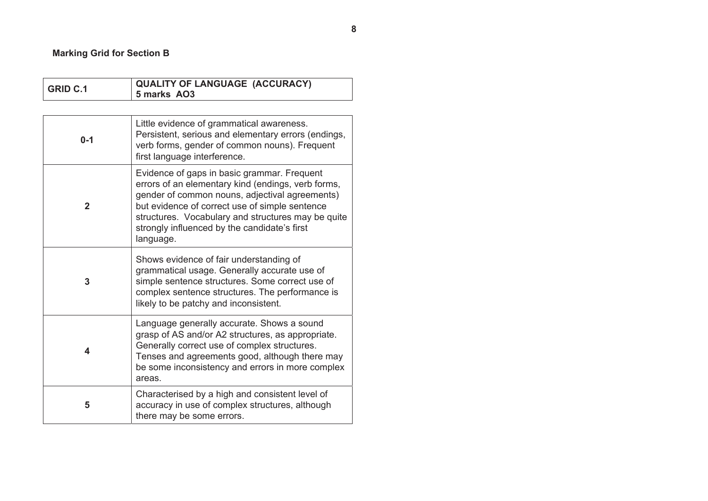## **Marking Grid for Section B**

| <b>GRID C.1</b> | <b>QUALITY OF LANGUAGE (ACCURACY)</b><br>5 marks AO3                                                                                                                                                                                                                                                                     |  |  |
|-----------------|--------------------------------------------------------------------------------------------------------------------------------------------------------------------------------------------------------------------------------------------------------------------------------------------------------------------------|--|--|
|                 |                                                                                                                                                                                                                                                                                                                          |  |  |
| $0 - 1$         | Little evidence of grammatical awareness.<br>Persistent, serious and elementary errors (endings,<br>verb forms, gender of common nouns). Frequent<br>first language interference.                                                                                                                                        |  |  |
| $\mathbf{2}$    | Evidence of gaps in basic grammar. Frequent<br>errors of an elementary kind (endings, verb forms,<br>gender of common nouns, adjectival agreements)<br>but evidence of correct use of simple sentence<br>structures. Vocabulary and structures may be quite<br>strongly influenced by the candidate's first<br>language. |  |  |
| 3               | Shows evidence of fair understanding of<br>grammatical usage. Generally accurate use of<br>simple sentence structures. Some correct use of<br>complex sentence structures. The performance is<br>likely to be patchy and inconsistent.                                                                                   |  |  |
| 4               | Language generally accurate. Shows a sound<br>grasp of AS and/or A2 structures, as appropriate.<br>Generally correct use of complex structures.<br>Tenses and agreements good, although there may<br>be some inconsistency and errors in more complex<br>areas.                                                          |  |  |
| 5               | Characterised by a high and consistent level of<br>accuracy in use of complex structures, although<br>there may be some errors.                                                                                                                                                                                          |  |  |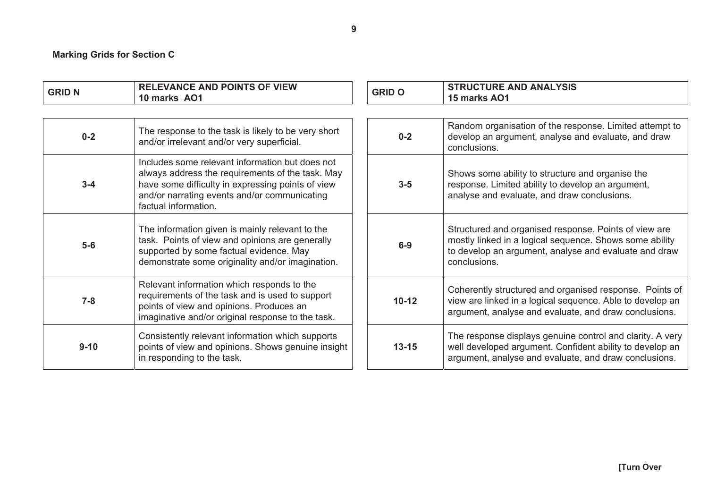### **Marking Grids for Section C**

| <b>GRID N</b> | <b>RELEVANCE AND POINTS OF VIEW</b><br>10 marks AO1                                                                                                                                                                              | <b>GRID O</b> | <b>STRUCTURE AND ANALYSIS</b><br>15 marks AO1                                                                                                                                             |
|---------------|----------------------------------------------------------------------------------------------------------------------------------------------------------------------------------------------------------------------------------|---------------|-------------------------------------------------------------------------------------------------------------------------------------------------------------------------------------------|
|               |                                                                                                                                                                                                                                  |               |                                                                                                                                                                                           |
| $0 - 2$       | The response to the task is likely to be very short<br>and/or irrelevant and/or very superficial.                                                                                                                                | $0 - 2$       | Random organisation of the response. Limited attempt to<br>develop an argument, analyse and evaluate, and draw<br>conclusions.                                                            |
| $3 - 4$       | Includes some relevant information but does not<br>always address the requirements of the task. May<br>have some difficulty in expressing points of view<br>and/or narrating events and/or communicating<br>factual information. | $3-5$         | Shows some ability to structure and organise the<br>response. Limited ability to develop an argument,<br>analyse and evaluate, and draw conclusions.                                      |
| $5-6$         | The information given is mainly relevant to the<br>task. Points of view and opinions are generally<br>supported by some factual evidence. May<br>demonstrate some originality and/or imagination.                                | $6-9$         | Structured and organised response. Points of view are<br>mostly linked in a logical sequence. Shows some ability<br>to develop an argument, analyse and evaluate and draw<br>conclusions. |
| $7 - 8$       | Relevant information which responds to the<br>requirements of the task and is used to support<br>points of view and opinions. Produces an<br>imaginative and/or original response to the task.                                   | $10 - 12$     | Coherently structured and organised response. Points of<br>view are linked in a logical sequence. Able to develop an<br>argument, analyse and evaluate, and draw conclusions.             |
| $9 - 10$      | Consistently relevant information which supports<br>points of view and opinions. Shows genuine insight<br>in responding to the task.                                                                                             | $13 - 15$     | The response displays genuine control and clarity. A very<br>well developed argument. Confident ability to develop an<br>argument, analyse and evaluate, and draw conclusions.            |